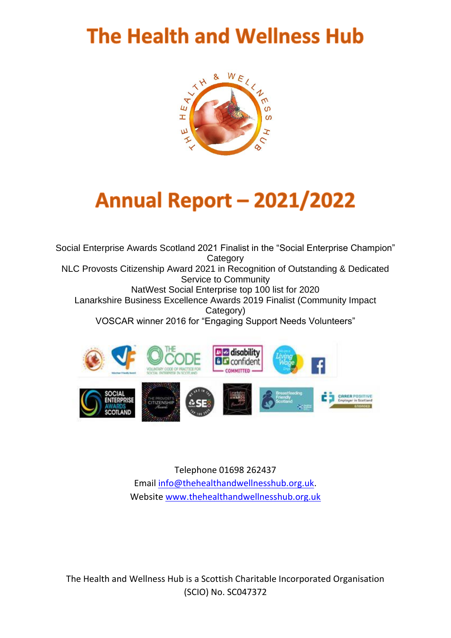## **The Health and Wellness Hub**



# **Annual Report - 2021/2022**

Social Enterprise Awards Scotland 2021 Finalist in the "Social Enterprise Champion" **Category** NLC Provosts Citizenship Award 2021 in Recognition of Outstanding & Dedicated Service to Community NatWest Social Enterprise top 100 list for 2020 Lanarkshire Business Excellence Awards 2019 Finalist (Community Impact Category) VOSCAR winner 2016 for "Engaging Support Needs Volunteers"



Telephone 01698 262437 Email [info@thehealthandwellnesshub.org.uk.](mailto:info@thehealthandwellnesshub.org.uk) Website [www.thehealthandwellnesshub.org.uk](http://www.thehealthandwellnesshub.org.uk/)

The Health and Wellness Hub is a Scottish Charitable Incorporated Organisation (SCIO) No. SC047372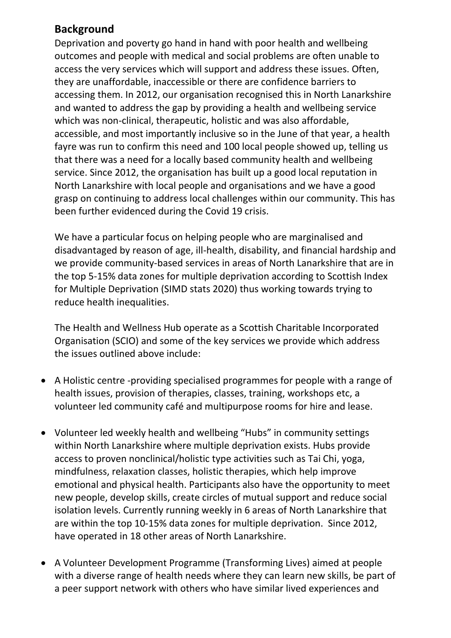## **Background**

Deprivation and poverty go hand in hand with poor health and wellbeing outcomes and people with medical and social problems are often unable to access the very services which will support and address these issues. Often, they are unaffordable, inaccessible or there are confidence barriers to accessing them. In 2012, our organisation recognised this in North Lanarkshire and wanted to address the gap by providing a health and wellbeing service which was non-clinical, therapeutic, holistic and was also affordable, accessible, and most importantly inclusive so in the June of that year, a health fayre was run to confirm this need and 100 local people showed up, telling us that there was a need for a locally based community health and wellbeing service. Since 2012, the organisation has built up a good local reputation in North Lanarkshire with local people and organisations and we have a good grasp on continuing to address local challenges within our community. This has been further evidenced during the Covid 19 crisis.

We have a particular focus on helping people who are marginalised and disadvantaged by reason of age, ill-health, disability, and financial hardship and we provide community-based services in areas of North Lanarkshire that are in the top 5-15% data zones for multiple deprivation according to Scottish Index for Multiple Deprivation (SIMD stats 2020) thus working towards trying to reduce health inequalities.

The Health and Wellness Hub operate as a Scottish Charitable Incorporated Organisation (SCIO) and some of the key services we provide which address the issues outlined above include:

- A Holistic centre -providing specialised programmes for people with a range of health issues, provision of therapies, classes, training, workshops etc, a volunteer led community café and multipurpose rooms for hire and lease.
- Volunteer led weekly health and wellbeing "Hubs" in community settings within North Lanarkshire where multiple deprivation exists. Hubs provide access to proven nonclinical/holistic type activities such as Tai Chi, yoga, mindfulness, relaxation classes, holistic therapies, which help improve emotional and physical health. Participants also have the opportunity to meet new people, develop skills, create circles of mutual support and reduce social isolation levels. Currently running weekly in 6 areas of North Lanarkshire that are within the top 10-15% data zones for multiple deprivation. Since 2012, have operated in 18 other areas of North Lanarkshire.
- A Volunteer Development Programme (Transforming Lives) aimed at people with a diverse range of health needs where they can learn new skills, be part of a peer support network with others who have similar lived experiences and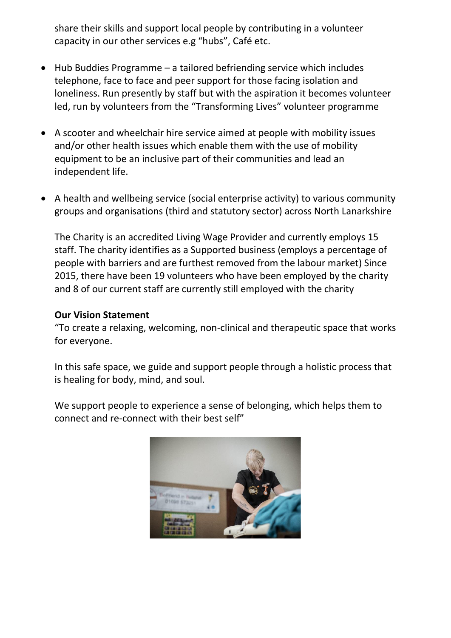share their skills and support local people by contributing in a volunteer capacity in our other services e.g "hubs", Café etc.

- Hub Buddies Programme a tailored befriending service which includes telephone, face to face and peer support for those facing isolation and loneliness. Run presently by staff but with the aspiration it becomes volunteer led, run by volunteers from the "Transforming Lives" volunteer programme
- A scooter and wheelchair hire service aimed at people with mobility issues and/or other health issues which enable them with the use of mobility equipment to be an inclusive part of their communities and lead an independent life.
- A health and wellbeing service (social enterprise activity) to various community groups and organisations (third and statutory sector) across North Lanarkshire

The Charity is an accredited Living Wage Provider and currently employs 15 staff. The charity identifies as a Supported business (employs a percentage of people with barriers and are furthest removed from the labour market) Since 2015, there have been 19 volunteers who have been employed by the charity and 8 of our current staff are currently still employed with the charity

#### **Our Vision Statement**

"To create a relaxing, welcoming, non-clinical and therapeutic space that works for everyone.

In this safe space, we guide and support people through a holistic process that is healing for body, mind, and soul.

We support people to experience a sense of belonging, which helps them to connect and re-connect with their best self"

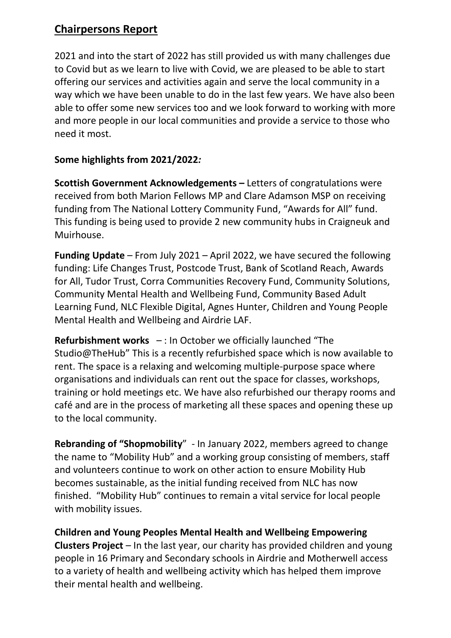## **Chairpersons Report**

2021 and into the start of 2022 has still provided us with many challenges due to Covid but as we learn to live with Covid, we are pleased to be able to start offering our services and activities again and serve the local community in a way which we have been unable to do in the last few years. We have also been able to offer some new services too and we look forward to working with more and more people in our local communities and provide a service to those who need it most.

### **Some highlights from 2021/2022***:*

**Scottish Government Acknowledgements –** Letters of congratulations were received from both Marion Fellows MP and Clare Adamson MSP on receiving funding from The National Lottery Community Fund, "Awards for All" fund. This funding is being used to provide 2 new community hubs in Craigneuk and Muirhouse.

**Funding Update** – From July 2021 – April 2022, we have secured the following funding: Life Changes Trust, Postcode Trust, Bank of Scotland Reach, Awards for All, Tudor Trust, Corra Communities Recovery Fund, Community Solutions, Community Mental Health and Wellbeing Fund, Community Based Adult Learning Fund, NLC Flexible Digital, Agnes Hunter, Children and Young People Mental Health and Wellbeing and Airdrie LAF.

**Refurbishment works** – : In October we officially launched "The Studio@TheHub" This is a recently refurbished space which is now available to rent. The space is a relaxing and welcoming multiple-purpose space where organisations and individuals can rent out the space for classes, workshops, training or hold meetings etc. We have also refurbished our therapy rooms and café and are in the process of marketing all these spaces and opening these up to the local community.

**Rebranding of "Shopmobility**" - In January 2022, members agreed to change the name to "Mobility Hub" and a working group consisting of members, staff and volunteers continue to work on other action to ensure Mobility Hub becomes sustainable, as the initial funding received from NLC has now finished. "Mobility Hub" continues to remain a vital service for local people with mobility issues.

**Children and Young Peoples Mental Health and Wellbeing Empowering Clusters Project** – In the last year, our charity has provided children and young people in 16 Primary and Secondary schools in Airdrie and Motherwell access to a variety of health and wellbeing activity which has helped them improve their mental health and wellbeing.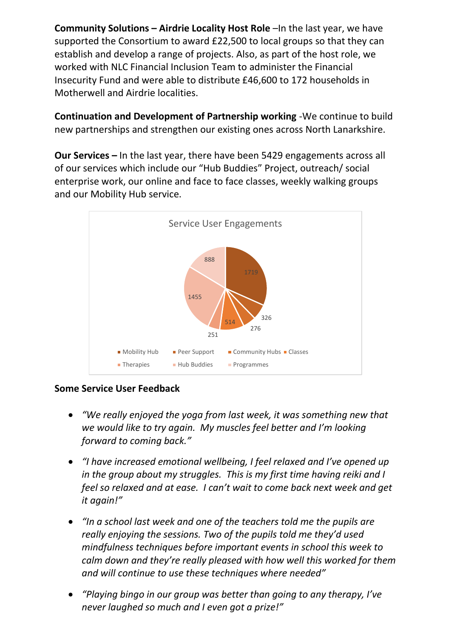**Community Solutions – Airdrie Locality Host Role** –In the last year, we have supported the Consortium to award £22,500 to local groups so that they can establish and develop a range of projects. Also, as part of the host role, we worked with NLC Financial Inclusion Team to administer the Financial Insecurity Fund and were able to distribute £46,600 to 172 households in Motherwell and Airdrie localities.

**Continuation and Development of Partnership working** -We continue to build new partnerships and strengthen our existing ones across North Lanarkshire.

**Our Services –** In the last year, there have been 5429 engagements across all of our services which include our "Hub Buddies" Project, outreach/ social enterprise work, our online and face to face classes, weekly walking groups and our Mobility Hub service.



#### **Some Service User Feedback**

- *"We really enjoyed the yoga from last week, it was something new that we would like to try again. My muscles feel better and I'm looking forward to coming back."*
- *"I have increased emotional wellbeing, I feel relaxed and I've opened up in the group about my struggles. This is my first time having reiki and I feel so relaxed and at ease. I can't wait to come back next week and get it again!"*
- *"In a school last week and one of the teachers told me the pupils are really enjoying the sessions. Two of the pupils told me they'd used mindfulness techniques before important events in school this week to calm down and they're really pleased with how well this worked for them and will continue to use these techniques where needed"*
- *"Playing bingo in our group was better than going to any therapy, I've never laughed so much and I even got a prize!"*